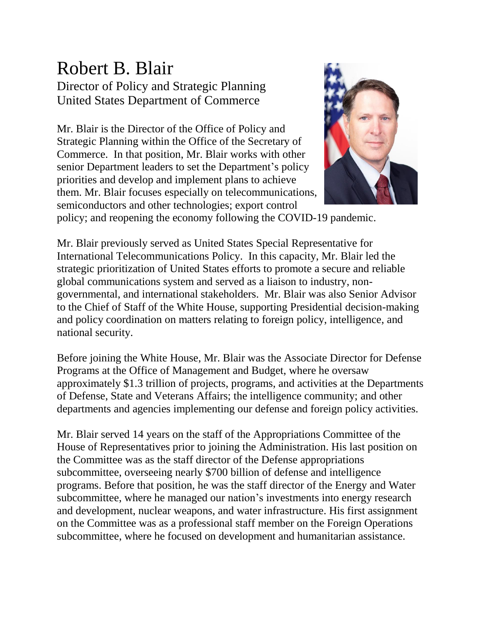## Robert B. Blair Director of Policy and Strategic Planning United States Department of Commerce

Mr. Blair is the Director of the Office of Policy and Strategic Planning within the Office of the Secretary of Commerce. In that position, Mr. Blair works with other senior Department leaders to set the Department's policy priorities and develop and implement plans to achieve them. Mr. Blair focuses especially on telecommunications, semiconductors and other technologies; export control



policy; and reopening the economy following the COVID-19 pandemic.

Mr. Blair previously served as United States Special Representative for International Telecommunications Policy. In this capacity, Mr. Blair led the strategic prioritization of United States efforts to promote a secure and reliable global communications system and served as a liaison to industry, nongovernmental, and international stakeholders. Mr. Blair was also Senior Advisor to the Chief of Staff of the White House, supporting Presidential decision-making and policy coordination on matters relating to foreign policy, intelligence, and national security.

Before joining the White House, Mr. Blair was the Associate Director for Defense Programs at the Office of Management and Budget, where he oversaw approximately \$1.3 trillion of projects, programs, and activities at the Departments of Defense, State and Veterans Affairs; the intelligence community; and other departments and agencies implementing our defense and foreign policy activities.

Mr. Blair served 14 years on the staff of the Appropriations Committee of the House of Representatives prior to joining the Administration. His last position on the Committee was as the staff director of the Defense appropriations subcommittee, overseeing nearly \$700 billion of defense and intelligence programs. Before that position, he was the staff director of the Energy and Water subcommittee, where he managed our nation's investments into energy research and development, nuclear weapons, and water infrastructure. His first assignment on the Committee was as a professional staff member on the Foreign Operations subcommittee, where he focused on development and humanitarian assistance.